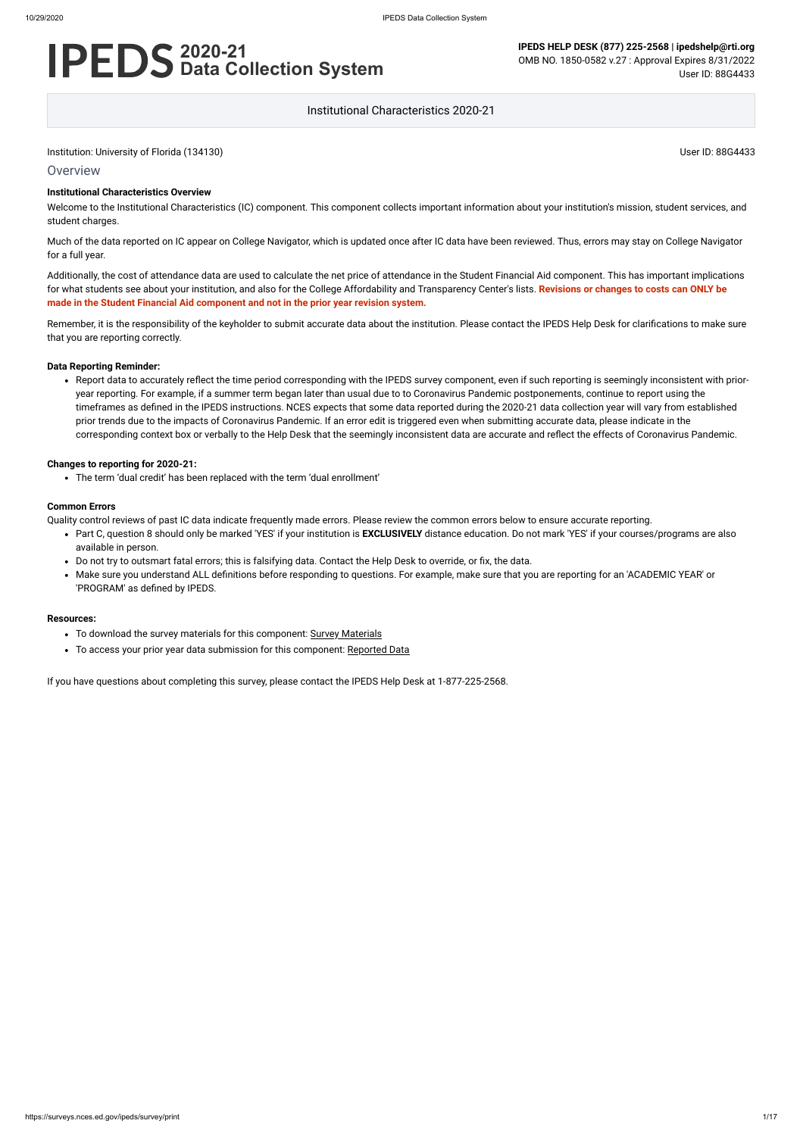#### **Overview**

# **2020-21 Data Collection System**

**IPEDS HELP DESK (877) 225-2568 | ipedshelp@rti.org** OMB NO. 1850-0582 v.27 : Approval Expires 8/31/2022 User ID: 88G4433

Institutional Characteristics 2020-21

#### **Institutional Characteristics Overview**

Welcome to the Institutional Characteristics (IC) component. This component collects important information about your institution's mission, student services, and student charges.

Much of the data reported on IC appear on College Navigator, which is updated once after IC data have been reviewed. Thus, errors may stay on College Navigator for a full year.

Additionally, the cost of attendance data are used to calculate the net price of attendance in the Student Financial Aid component. This has important implications for what students see about your institution, and also for the College Affordability and Transparency Center's lists. **Revisions or changes to costs can ONLY be made in the Student Financial Aid component and not in the prior year revision system.**

Remember, it is the responsibility of the keyholder to submit accurate data about the institution. Please contact the IPEDS Help Desk for clarifications to make sure that you are reporting correctly.

#### **Data Reporting Reminder:**

Report data to accurately reflect the time period corresponding with the IPEDS survey component, even if such reporting is seemingly inconsistent with prioryear reporting. For example, if a summer term began later than usual due to to Coronavirus Pandemic postponements, continue to report using the timeframes as defined in the IPEDS instructions. NCES expects that some data reported during the 2020-21 data collection year will vary from established prior trends due to the impacts of Coronavirus Pandemic. If an error edit is triggered even when submitting accurate data, please indicate in the corresponding context box or verbally to the Help Desk that the seemingly inconsistent data are accurate and reflect the effects of Coronavirus Pandemic.

#### **Changes to reporting for 2020-21:**

The term 'dual credit' has been replaced with the term 'dual enrollment'

#### **Common Errors**

Quality control reviews of past IC data indicate frequently made errors. Please review the common errors below to ensure accurate reporting.

- Part C, question 8 should only be marked 'YES' if your institution is **EXCLUSIVELY** distance education. Do not mark 'YES' if your courses/programs are also available in person.
- Do not try to outsmart fatal errors; this is falsifying data. Contact the Help Desk to override, or fix, the data.
- Make sure you understand ALL definitions before responding to questions. For example, make sure that you are reporting for an 'ACADEMIC YEAR' or 'PROGRAM' as defined by IPEDS.

#### **Resources:**

- To download the survey materials for this component: Survey [Materials](https://surveys.nces.ed.gov/ipeds/public/survey-materials/index)
- To access your prior year data submission for this component: [Reported Data](https://surveys.nces.ed.gov/IPEDS_py/DataForms.aspx?f0e9e4efc4dfb8acaeafacaeaba1eef0edf1e0f4c4dfb8acaca1f0eee0edc4dfb8b3b3c2afafaeaea1f0e9e4efc9dce8e0b8d0e9e4f1e0edeee4eff49beae19bc1e7eaede4dfdca1ebedeadee0eeeeb8e0f3efe0ede9dce7a1eddfefb8acabaaadb4aaadabadab9bacabb5b0b1b5aeaf9bbcc8)

If you have questions about completing this survey, please contact the IPEDS Help Desk at 1-877-225-2568.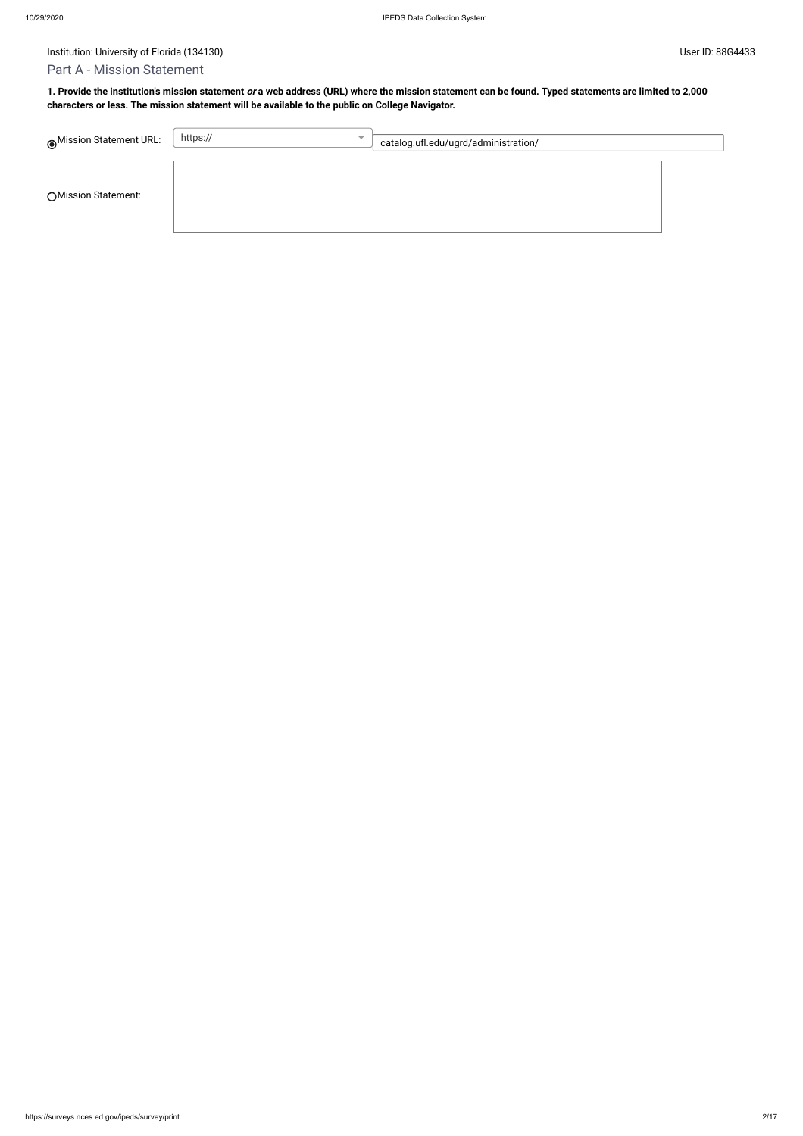# Institution: University of Florida (134130) Contract the User ID: 88G4433 User ID: 88G4433

# Part A - Mission Statement

| Mission Statement URL: | https://<br>$\overline{\phantom{a}}$ | catalog.ufl.edu/ugrd/administration/ |  |
|------------------------|--------------------------------------|--------------------------------------|--|
| ○ Mission Statement:   |                                      |                                      |  |

**1. Provide the institution's mission statement or a web address (URL) where the mission statement can be found. Typed statements are limited to 2,000 characters or less. The mission statement will be available to the public on College Navigator.**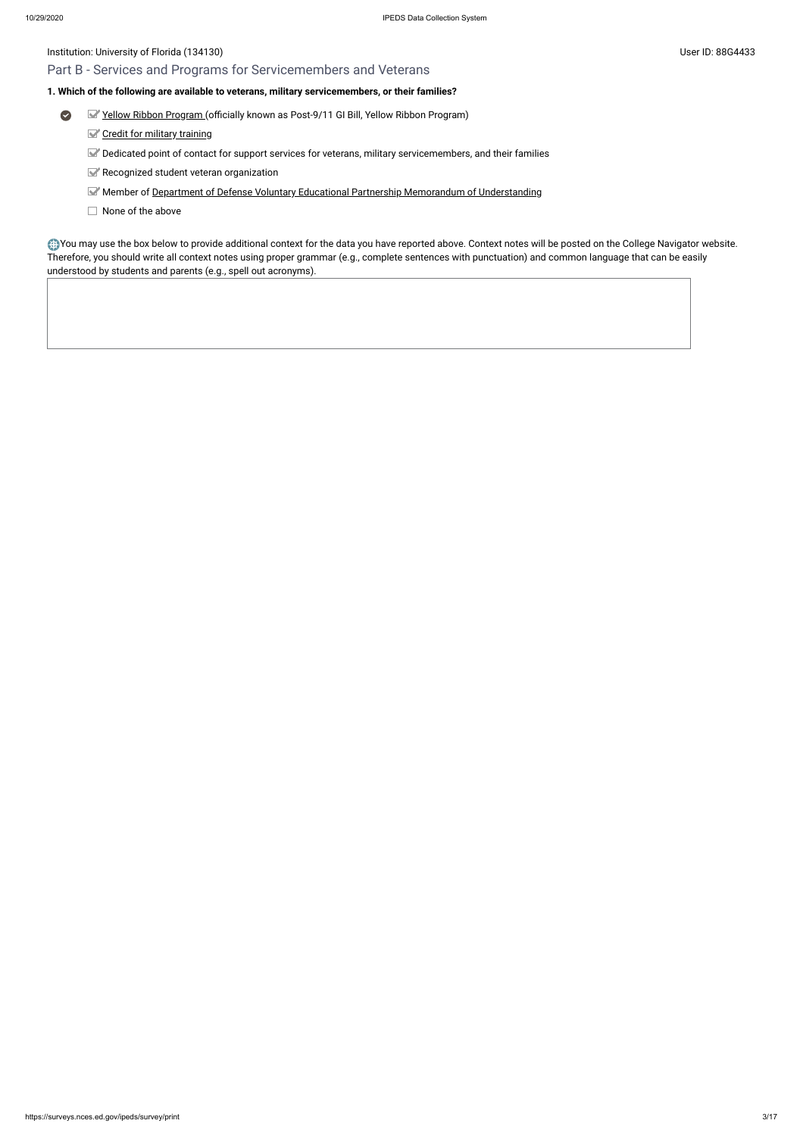# Part B - Services and Programs for Servicemembers and Veterans

#### **1. Which of the following are available to veterans, military servicemembers, or their families?**

- $\bullet$ Yellow [Ribbon Program](javascript:openglossary(1044)) (officially known as Post-9/11 GI Bill, Yellow Ribbon Program)
	- Credit for military [training](javascript:openglossary(1047))
	- Dedicated point of contact for support services for veterans, military servicemembers, and their families
	- Recognized student veteran organization
	- Member of Department of [Defense Voluntary](javascript:openglossary(1069)) Educational Partnership Memorandum of Understanding
	- $\Box$  None of the above

You may use the box below to provide additional context for the data you have reported above. Context notes will be posted on the College Navigator website. Therefore, you should write all context notes using proper grammar (e.g., complete sentences with punctuation) and common language that can be easily understood by students and parents (e.g., spell out acronyms).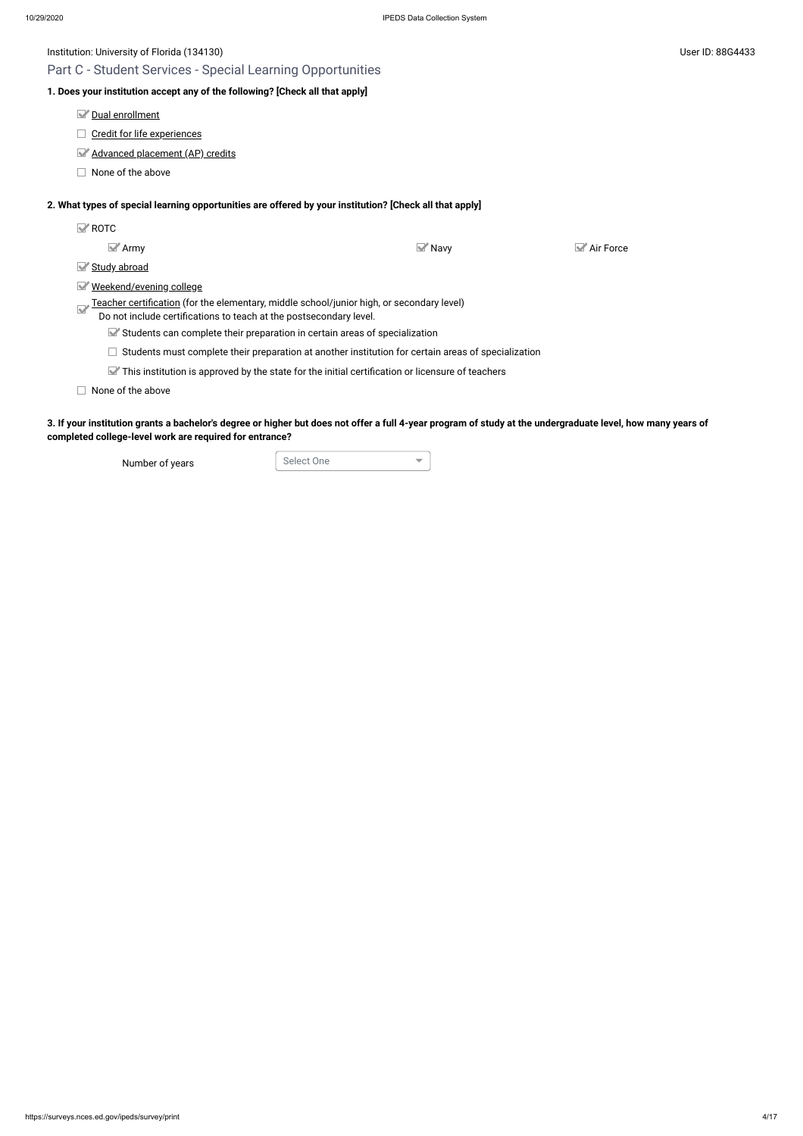Part C - Student Services - Special Learning Opportunities

# **1. Does your institution accept any of the following? [Check all that apply]**

Dual [enrollment](javascript:openglossary(709))

 $\Box$  Credit for [life experiences](javascript:openglossary(710))

[Advanced placement](javascript:openglossary(711)) (AP) credits

 $\Box$  None of the above

#### **2. What types of special learning opportunities are offered by your institution? [Check all that apply]**

| $\blacktriangleright$ ROTC                                                                                                                                             |                     |                        |
|------------------------------------------------------------------------------------------------------------------------------------------------------------------------|---------------------|------------------------|
| $\blacktriangleright$ Army                                                                                                                                             | $\blacksquare$ Navy | $\mathsf{M}$ Air Force |
| Study abroad                                                                                                                                                           |                     |                        |
| Weekend/evening college<br>M                                                                                                                                           |                     |                        |
| <u>Teacher certification</u> (for the elementary, middle school/junior high, or secondary level)<br>Do not include certifications to teach at the postsecondary level. |                     |                        |
| Students can complete their preparation in certain areas of specialization                                                                                             |                     |                        |
| Students must complete their preparation at another institution for certain areas of specialization                                                                    |                     |                        |
| $\blacktriangleright$ This institution is approved by the state for the initial certification or licensure of teachers                                                 |                     |                        |
| None of the above                                                                                                                                                      |                     |                        |

**3. If your institution grants a bachelor's degree or higher but does not offer a full 4-year program of study at the undergraduate level, how many years of completed college-level work are required for entrance?**

Number of years Select One

 $\overline{\mathbf{v}}$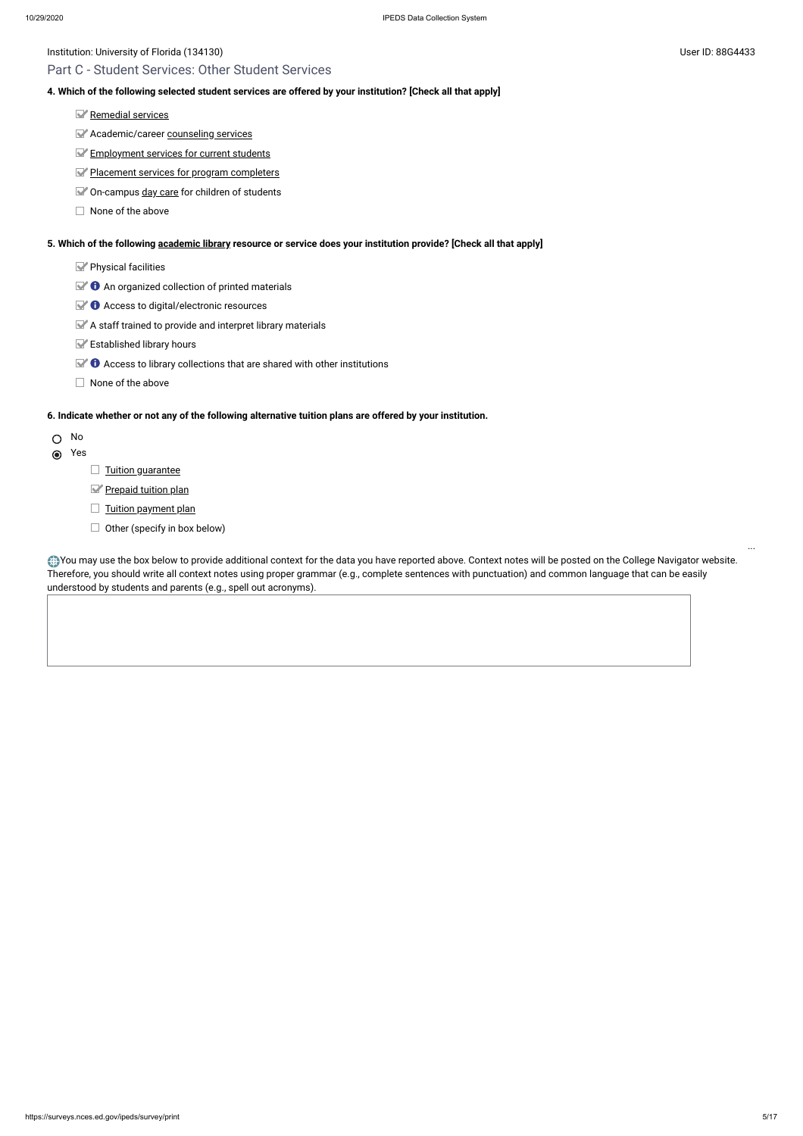## Part C - Student Services: Other Student Services

#### **4. Which of the following selected student services are offered by your institution? [Check all that apply]**

- [Remedial](javascript:openglossary(547)) services
- **Academic/career [counseling](javascript:openglossary(149)) services**
- [Employment](javascript:openglossary(195)) services for current students
- Placement services for [program completers](javascript:openglossary(479))
- On-campus day [care](javascript:openglossary(165)) for children of students
- $\Box$  None of the above

- Yes  $\odot$ 
	- $\Box$  [Tuition guarantee](javascript:openglossary(949))
	- [Prepaid tuition plan](javascript:openglossary(950))
	- $\Box$  [Tuition payment](javascript:openglossary(951)) plan
	- $\Box$  Other (specify in box below)

#### **5. Which of the following [academic library](javascript:openglossary(1015)) resource or service does your institution provide? [Check all that apply]**

- Physical facilities
- $\mathbb{R}$  **O** An organized collection of printed materials
- Access to digital/electronic resources
- $\blacktriangleright$  A staff trained to provide and interpret library materials
- Established library hours
- $\blacktriangleright$   $\blacklozenge$  Access to library collections that are shared with other institutions
- $\Box$  None of the above

You may use the box below to provide additional context for the data you have reported above. Context notes will be posted on the College Navigator website. Therefore, you should write all context notes using proper grammar (e.g., complete sentences with punctuation) and common language that can be easily understood by students and parents (e.g., spell out acronyms).

#### **6. Indicate whether or not any of the following alternative tuition plans are offered by your institution.**

## O No

...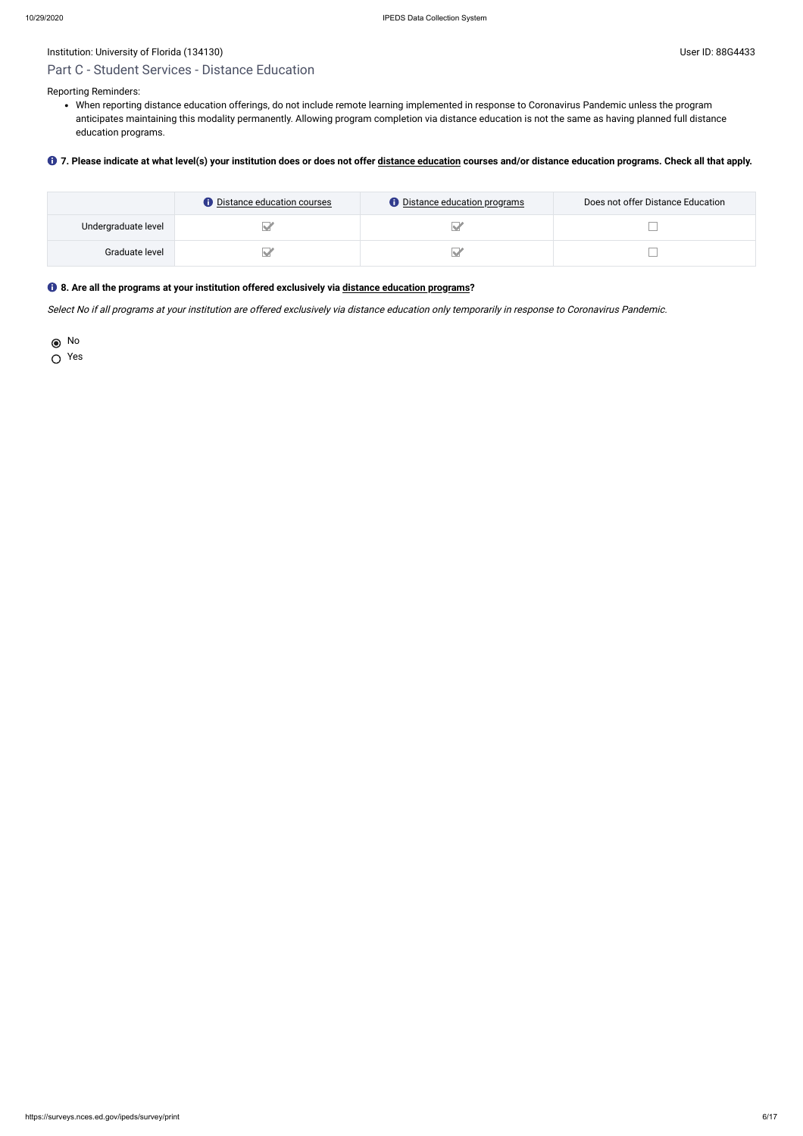# Part C - Student Services - Distance Education

Reporting Reminders:

When reporting distance education offerings, do not include remote learning implemented in response to Coronavirus Pandemic unless the program anticipates maintaining this modality permanently. Allowing program completion via distance education is not the same as having planned full distance education programs.

#### **7. Please indicate at what level(s) your institution does or does not offer [distance education](javascript:openglossary(713)) courses and/or distance education programs. Check all that apply.**

|                     | <b>O</b> Distance education courses | <b>O</b> Distance education programs | Does not offer Distance Education |
|---------------------|-------------------------------------|--------------------------------------|-----------------------------------|
| Undergraduate level |                                     |                                      |                                   |
| Graduate level      |                                     |                                      |                                   |

#### **8. Are all the programs at your institution offered exclusively via [distance education programs](javascript:openglossary(977))?**

Select No if all programs at your institution are offered exclusively via distance education only temporarily in response to Coronavirus Pandemic.

No

Yes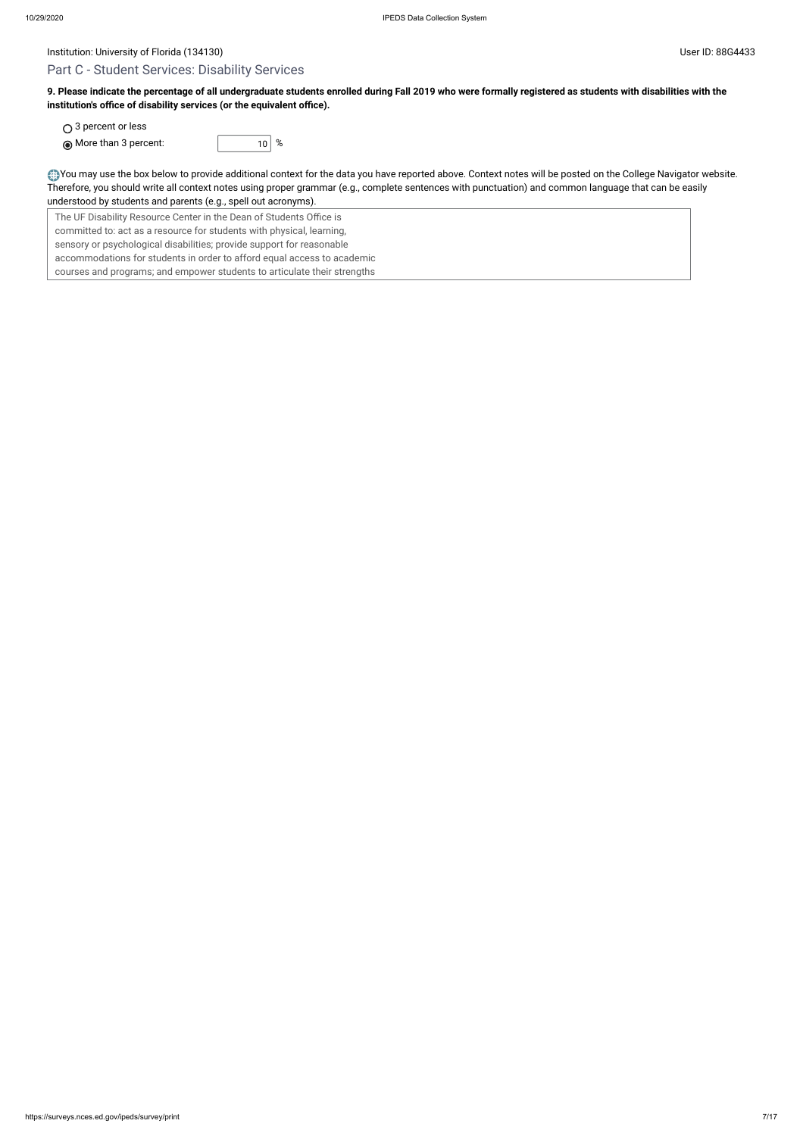# Part C - Student Services: Disability Services

**9. Please indicate the percentage of all undergraduate students enrolled during Fall 2019 who were formally registered as students with disabilities with the institution's office of disability services (or the equivalent office).**

○ 3 percent or less  $\bigcirc$  More than 3 percent:  $\bigcirc$  10  $\frac{1}{8}$ 



You may use the box below to provide additional context for the data you have reported above. Context notes will be posted on the College Navigator website. Therefore, you should write all context notes using proper grammar (e.g., complete sentences with punctuation) and common language that can be easily understood by students and parents (e.g., spell out acronyms).

The UF Disability Resource Center in the Dean of Students Office is committed to: act as a resource for students with physical, learning, sensory or psychological disabilities; provide support for reasonable accommodations for students in order to afford equal access to academic courses and programs; and empower students to articulate their strengths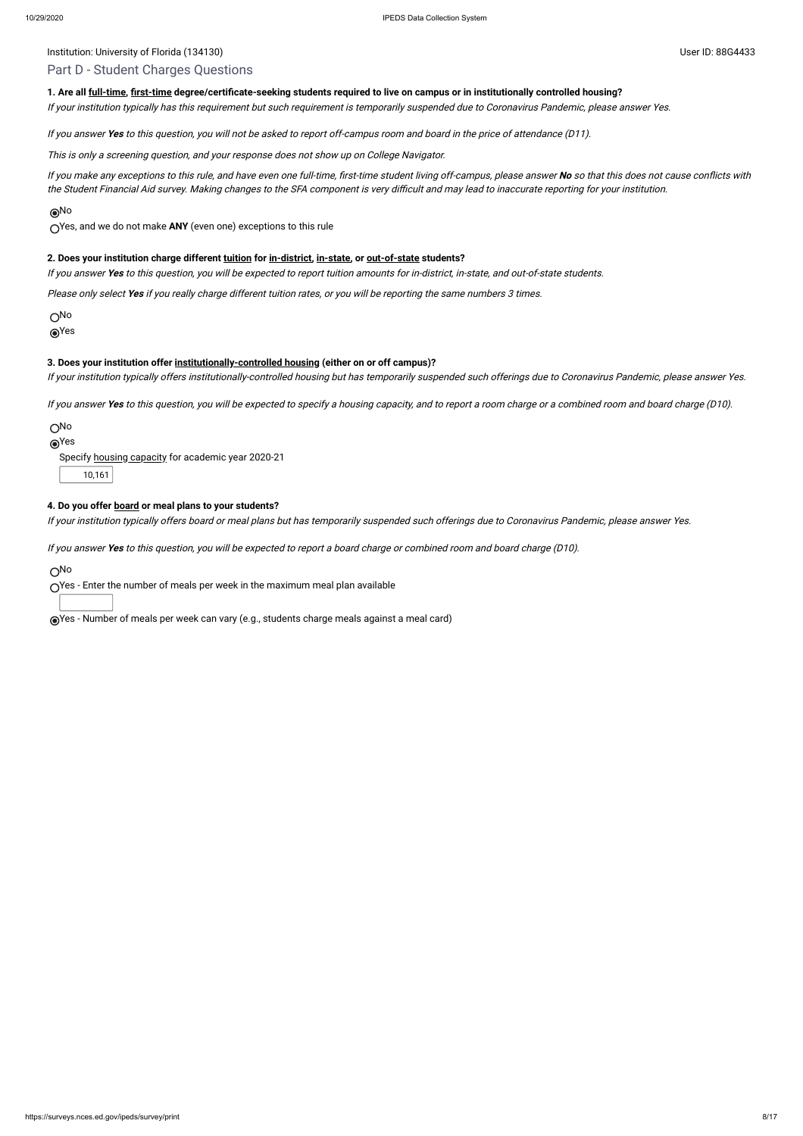## Part D - Student Charges Questions

#### **1. Are all [full-time](javascript:openglossary(259)), [first-time](javascript:openglossary(241)) degree/certificate-seeking students required to live on campus or in institutionally controlled housing?**

If your institution typically has this requirement but such requirement is temporarily suspended due to Coronavirus Pandemic, please answer Yes.

If you answer **Yes** to this question, you will not be asked to report off-campus room and board in the price of attendance (D11).

This is only <sup>a</sup> screening question, and your response does not show up on College Navigator.

If you make any exceptions to this rule, and have even one full-time, first-time student living off-campus, please answer **No** so that this does not cause conflicts with the Student Financial Aid survey. Making changes to the SFA component is very difficult and may lead to inaccurate reporting for your institution.

#### No

Yes, and we do not make **ANY** (even one) exceptions to this rule

#### **2. Does your institution charge different [tuition](javascript:openglossary(848)) for [in-district](javascript:openglossary(303)), [in-state,](javascript:openglossary(309)) or [out-of-state](javascript:openglossary(463)) students?**

If you answer **Yes** to this question, you will be expected to report tuition amounts for in-district, in-state, and out-of-state students.

Please only select **Yes** if you really charge different tuition rates, or you will be reporting the same numbers 3 times.

O<sub>No</sub>

Yes

#### **3. Does your institution offer [institutionally-controlled housing](javascript:openglossary(970)) (either on or off campus)?**

If your institution typically offers institutionally-controlled housing but has temporarily suspended such offerings due to Coronavirus Pandemic, please answer Yes.

If you answer **Yes** to this question, you will be expected to specify <sup>a</sup> housing capacity, and to report <sup>a</sup> room charge or <sup>a</sup> combined room and board charge (D10).

#### No

## Yes

Specify housing [capacity](javascript:openglossary(185)) for academic year 2020-21

10,161

#### **4. Do you offer [board](javascript:openglossary(87)) or meal plans to your students?**

If your institution typically offers board or meal plans but has temporarily suspended such offerings due to Coronavirus Pandemic, please answer Yes.

If you answer **Yes** to this question, you will be expected to report <sup>a</sup> board charge or combined room and board charge (D10).

No

Yes - Enter the number of meals per week in the maximum meal plan available

Yes - Number of meals per week can vary (e.g., students charge meals against a meal card)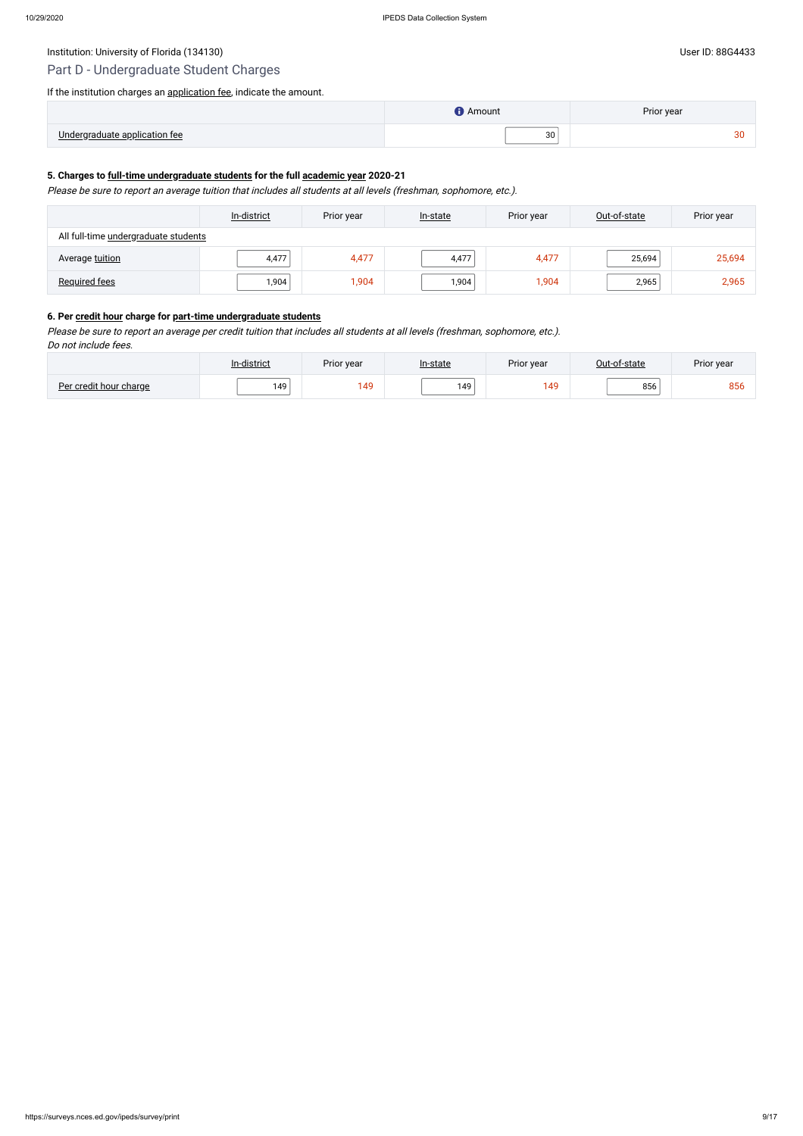# Institution: University of Florida (134130) Contract the User ID: 88G4433 User ID: 88G4433

# Part D - Undergraduate Student Charges

## If the institution charges an [application fee](javascript:openglossary(47)), indicate the amount.

|                                     | Amount | Prior year |
|-------------------------------------|--------|------------|
| Linderaradus<br>annlication.<br>041 | 30     | $\sim$     |

## **5. Charges to [full-time undergraduate students](javascript:openglossary(259)) for the full [academic year](javascript:openglossary(19)) 2020-21**

Please be sure to report an average tuition that includes all students at all levels (freshman, sophomore, etc.).

|                                      | In-district | Prior year | In-state | Prior year | Out-of-state | Prior year |
|--------------------------------------|-------------|------------|----------|------------|--------------|------------|
| All full-time undergraduate students |             |            |          |            |              |            |
| Average tuition                      | 4,477       | 4,477      | 4,477    | 4,477      | 25,694       | 25,694     |
| <b>Required fees</b>                 | ا 904,      | 1,904      | 1,904    | 1,904      | 2,965        | 2,965      |

#### **6. Per [credit hour](javascript:openglossary(155)) charge for [part-time undergraduate students](javascript:openglossary(469))**

Please be sure to report an average per credit tuition that includes all students at all levels (freshman, sophomore, etc.). Do not include fees.

|                        | In-district | Prior year | In-state | Prior year | Out-of-state | Prior year |
|------------------------|-------------|------------|----------|------------|--------------|------------|
| Per credit hour charge | 149         | 149        | 149      | 149        | 856          | 856        |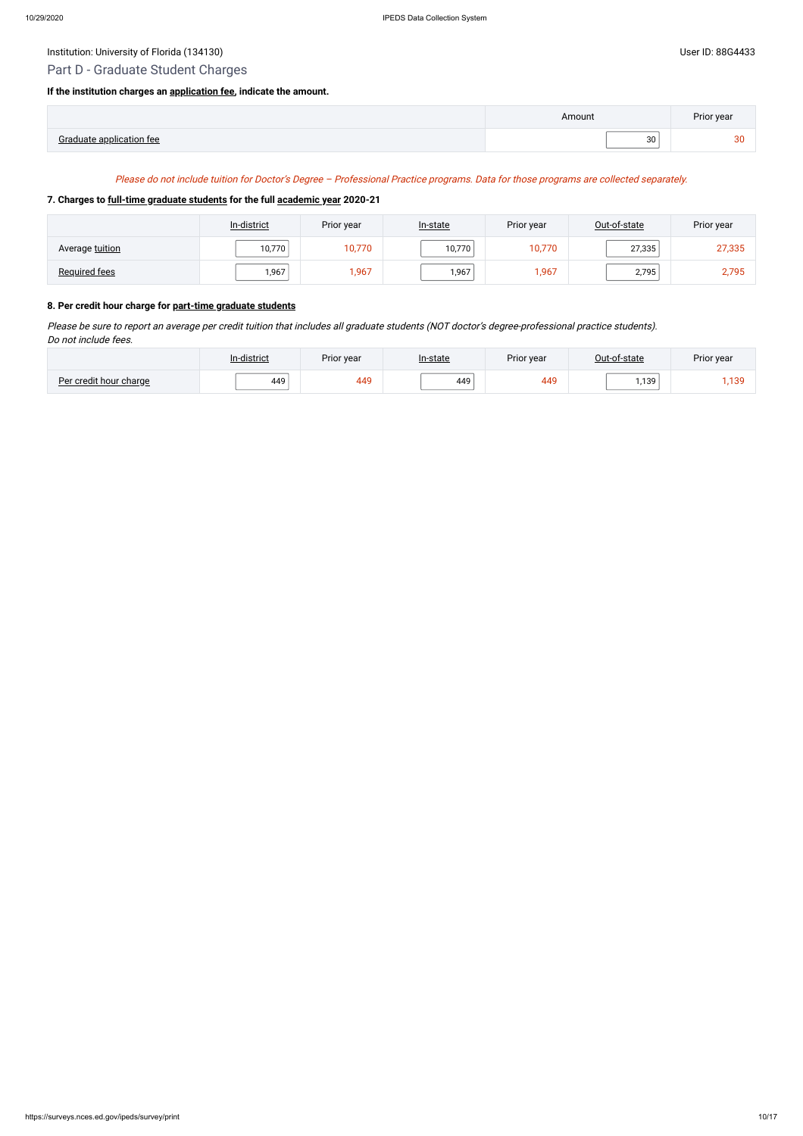# Institution: University of Florida (134130) Contract the User ID: 88G4433 User ID: 88G4433

# Part D - Graduate Student Charges

## **If the institution charges an [application fee,](javascript:openglossary(47)) indicate the amount.**

|              | nount? | Prior year |
|--------------|--------|------------|
| $\cdot$ room | 30     |            |

#### Please do not include tuition for Doctor's Degree – Professional Practice programs. Data for those programs are collected separately.

#### **7. Charges to [full-time graduate students](javascript:openglossary(259)) for the full [academic year](javascript:openglossary(19)) 2020-21**

|                      | In-district | Prior year | In-state | Prior year | Out-of-state | Prior year |
|----------------------|-------------|------------|----------|------------|--------------|------------|
| Average tuition      | 10,770      | 10,770     | 10,770   | 10,770     | 27,335       | 27,335     |
| <b>Required fees</b> | 1,967       | 1,967      | 1,967    | 1,967      | 2,795        | 2,795      |

#### **8. Per credit hour charge for [part-time graduate students](javascript:openglossary(469))**

Please be sure to report an average per credit tuition that includes all graduate students (NOT doctor's degree-professional practice students). Do not include fees.

|                        | n-district | Prior year | <u>In-state</u> | Prior year | Out-of-state | Prior year                                 |
|------------------------|------------|------------|-----------------|------------|--------------|--------------------------------------------|
| Per credit hour charge | 449        | 449        | 449             | 449        | 1,139        | 100<br>$\overline{\phantom{a}}$<br>د ټ ر ا |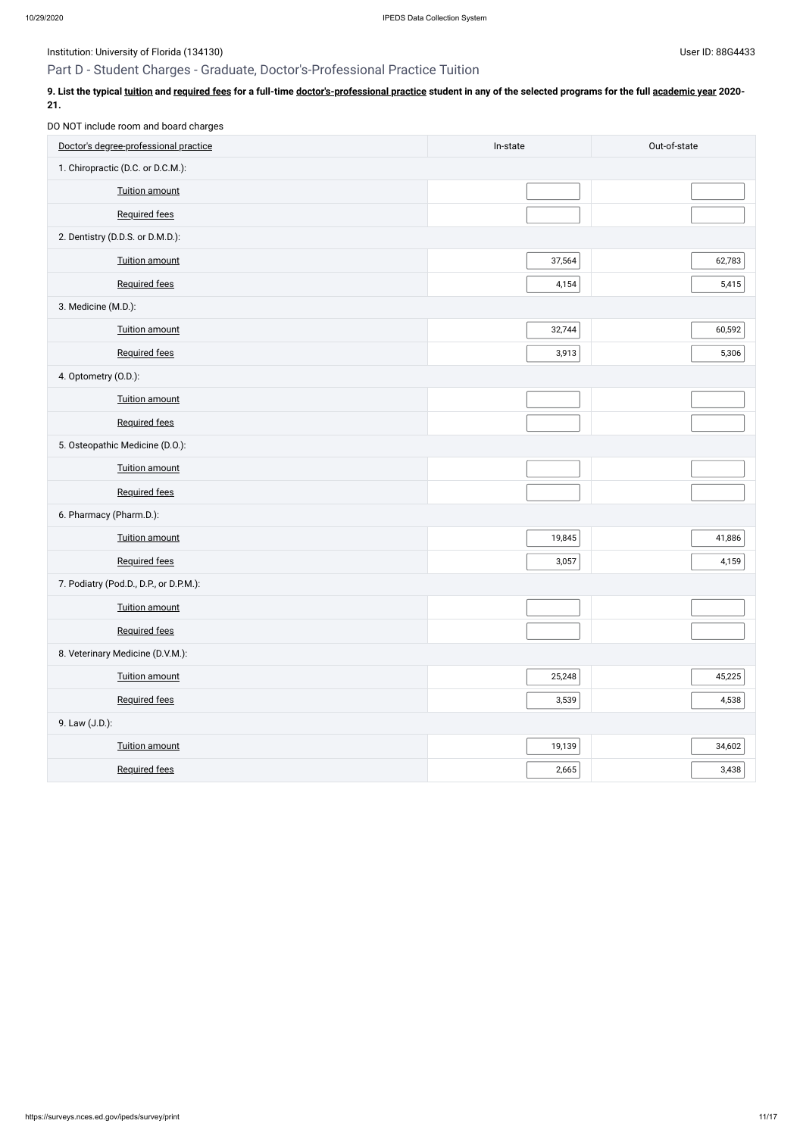Institution: University of Florida (134130) Contract the USE of Disease of Property and Disease in the User ID: 88G4433

# Part D - Student Charges - Graduate, Doctor's-Professional Practice Tuition

9. List the typical <u>[tuition](javascript:openglossary(848))</u> and [required fees](javascript:openglossary(788)) for a full-time [doctor's-professional practice](javascript:openglossary(942)) student in any of the selected programs for the full [academic year](javascript:openglossary(19)) 2020-**21.**

DO NOT include room and board charges

| Doctor's degree-professional practice  | In-state | Out-of-state |
|----------------------------------------|----------|--------------|
| 1. Chiropractic (D.C. or D.C.M.):      |          |              |
| <b>Tuition amount</b>                  |          |              |
| Required fees                          |          |              |
| 2. Dentistry (D.D.S. or D.M.D.):       |          |              |
| Tuition amount                         | 37,564   | 62,783       |
| Required fees                          | 4,154    | 5,415        |
| 3. Medicine (M.D.):                    |          |              |
| Tuition amount                         | 32,744   | 60,592       |
| <b>Required fees</b>                   | 3,913    | 5,306        |
| 4. Optometry (O.D.):                   |          |              |
| <b>Tuition amount</b>                  |          |              |
| Required fees                          |          |              |
| 5. Osteopathic Medicine (D.O.):        |          |              |
| <b>Tuition amount</b>                  |          |              |
| Required fees                          |          |              |
| 6. Pharmacy (Pharm.D.):                |          |              |
| Tuition amount                         | 19,845   | 41,886       |
| <b>Required fees</b>                   | 3,057    | 4,159        |
| 7. Podiatry (Pod.D., D.P., or D.P.M.): |          |              |
| <b>Tuition amount</b>                  |          |              |
| <b>Required fees</b>                   |          |              |
| 8. Veterinary Medicine (D.V.M.):       |          |              |
| <b>Tuition amount</b>                  | 25,248   | 45,225       |
| <b>Required fees</b>                   | 3,539    | 4,538        |
| 9. Law (J.D.):                         |          |              |
| <b>Tuition amount</b>                  | 19,139   | 34,602       |
| Required fees                          | 2,665    | 3,438        |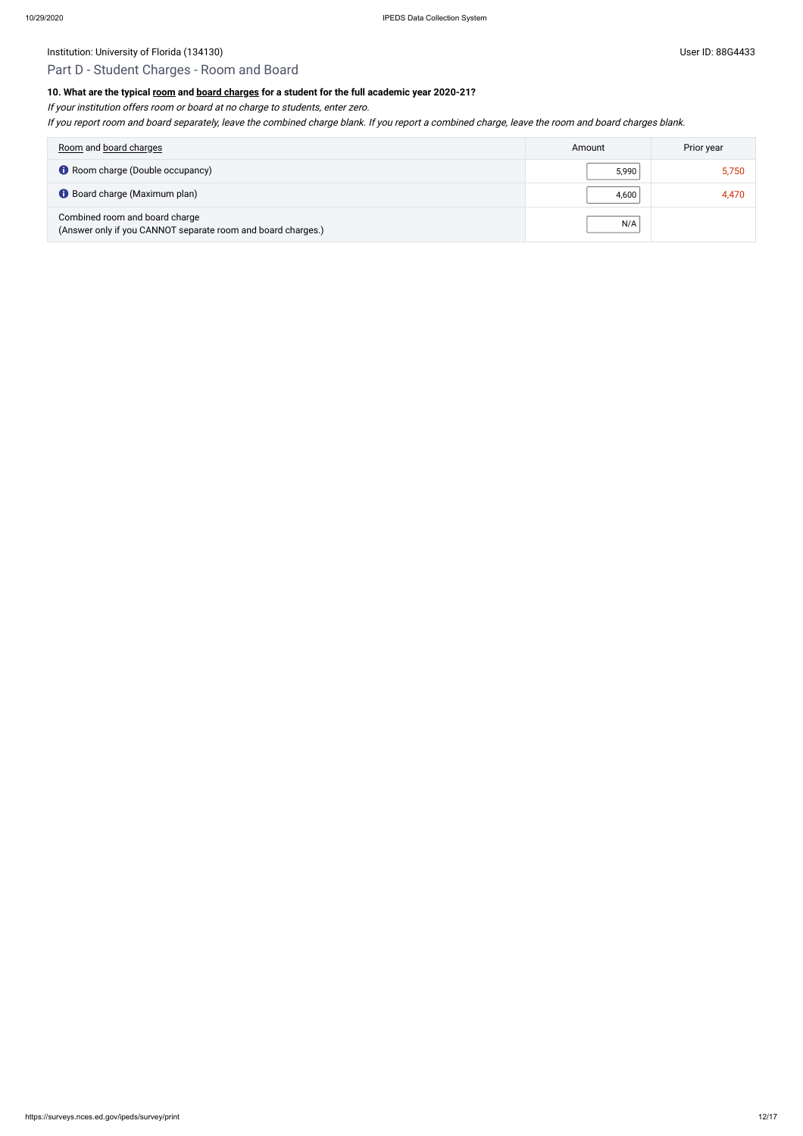Institution: University of Florida (134130) Channels and the User ID: 88G4433

# Part D - Student Charges - Room and Board

# **10. What are the typical [room](javascript:openglossary(565)) and [board charges](javascript:openglossary(87)) for a student for the full academic year 2020-21?**

If your institution offers room or board at no charge to students, enter zero.

If you report room and board separately, leave the combined charge blank. If you report <sup>a</sup> combined charge, leave the room and board charges blank.

| Room and board charges                                                                         | Amount | Prior year |
|------------------------------------------------------------------------------------------------|--------|------------|
| <b>C</b> Room charge (Double occupancy)                                                        | 5,990  | 5,750      |
| <b>Board charge (Maximum plan)</b>                                                             | 4,600  | 4,470      |
| Combined room and board charge<br>(Answer only if you CANNOT separate room and board charges.) | N/A    |            |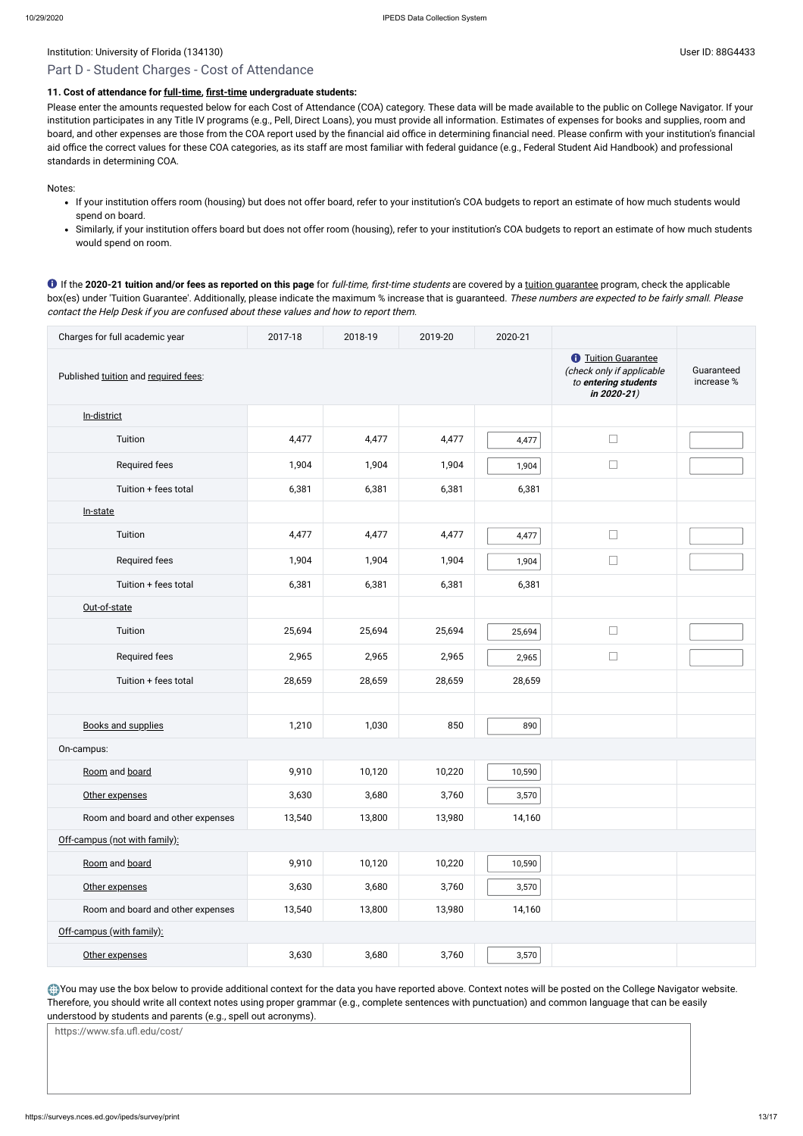# Part D - Student Charges - Cost of Attendance

# **11. Cost of attendance for [full-time,](javascript:openglossary(259)) [first-time](javascript:openglossary(241)) undergraduate students:**

Please enter the amounts requested below for each Cost of Attendance (COA) category. These data will be made available to the public on College Navigator. If your institution participates in any Title IV programs (e.g., Pell, Direct Loans), you must provide all information. Estimates of expenses for books and supplies, room and board, and other expenses are those from the COA report used by the financial aid office in determining financial need. Please confirm with your institution's financial aid office the correct values for these COA categories, as its staff are most familiar with federal guidance (e.g., Federal Student Aid Handbook) and professional standards in determining COA.

Notes:

- If your institution offers room (housing) but does not offer board, refer to your institution's COA budgets to report an estimate of how much students would spend on board.
- Similarly, if your institution offers board but does not offer room (housing), refer to your institution's COA budgets to report an estimate of how much students would spend on room.

If the **2020-21 tuition and/or fees as reported on this page** for full-time, first-time students are covered by a [tuition guarantee](javascript:openglossary(949)) program, check the applicable box(es) under 'Tuition Guarantee'. Additionally, please indicate the maximum % increase that is guaranteed. These numbers are expected to be fairly small. Please contact the Help Desk if you are confused about these values and how to report them.

You may use the box below to provide additional context for the data you have reported above. Context notes will be posted on the College Navigator website. Therefore, you should write all context notes using proper grammar (e.g., complete sentences with punctuation) and common language that can be easily understood by students and parents (e.g., spell out acronyms).

| Charges for full academic year       | 2017-18                                                                                                           | 2018-19                  | 2019-20 | 2020-21 |        |  |
|--------------------------------------|-------------------------------------------------------------------------------------------------------------------|--------------------------|---------|---------|--------|--|
| Published tuition and required fees: | <b><i><u>O</u></i></b> Tuition Guarantee<br>(check only if applicable<br>to entering students<br>in $2020 - 21$ ) | Guaranteed<br>increase % |         |         |        |  |
| In-district                          |                                                                                                                   |                          |         |         |        |  |
| Tuition                              | 4,477                                                                                                             | 4,477                    | 4,477   | 4,477   | $\Box$ |  |
| Required fees                        | 1,904                                                                                                             | 1,904                    | 1,904   | 1,904   | $\Box$ |  |
| Tuition + fees total                 | 6,381                                                                                                             | 6,381                    | 6,381   | 6,381   |        |  |
| In-state                             |                                                                                                                   |                          |         |         |        |  |
| Tuition                              | 4,477                                                                                                             | 4,477                    | 4,477   | 4,477   | $\Box$ |  |
| Required fees                        | 1,904                                                                                                             | 1,904                    | 1,904   | 1,904   | $\Box$ |  |
| Tuition + fees total                 | 6,381                                                                                                             | 6,381                    | 6,381   | 6,381   |        |  |
| Out-of-state                         |                                                                                                                   |                          |         |         |        |  |
| Tuition                              | 25,694                                                                                                            | 25,694                   | 25,694  | 25,694  | $\Box$ |  |
| Required fees                        | 2,965                                                                                                             | 2,965                    | 2,965   | 2,965   | $\Box$ |  |
| Tuition + fees total                 | 28,659                                                                                                            | 28,659                   | 28,659  | 28,659  |        |  |
|                                      |                                                                                                                   |                          |         |         |        |  |
| <b>Books and supplies</b>            | 1,210                                                                                                             | 1,030                    | 850     | 890     |        |  |
| On-campus:                           |                                                                                                                   |                          |         |         |        |  |
| Room and board                       | 9,910                                                                                                             | 10,120                   | 10,220  | 10,590  |        |  |
| Other expenses                       | 3,630                                                                                                             | 3,680                    | 3,760   | 3,570   |        |  |
| Room and board and other expenses    | 13,540                                                                                                            | 13,800                   | 13,980  | 14,160  |        |  |
| Off-campus (not with family):        |                                                                                                                   |                          |         |         |        |  |

| Room and board                    | 9,910  | 10,120 | 10,220 | 10,590 |  |  |
|-----------------------------------|--------|--------|--------|--------|--|--|
| Other expenses                    | 3,630  | 3,680  | 3,760  | 3,570  |  |  |
| Room and board and other expenses | 13,540 | 13,800 | 13,980 | 14,160 |  |  |
| Off-campus (with family):         |        |        |        |        |  |  |
| Other expenses                    | 3,630  | 3,680  | 3,760  | 3,570  |  |  |

https://www.sfa.ufl.edu/cost/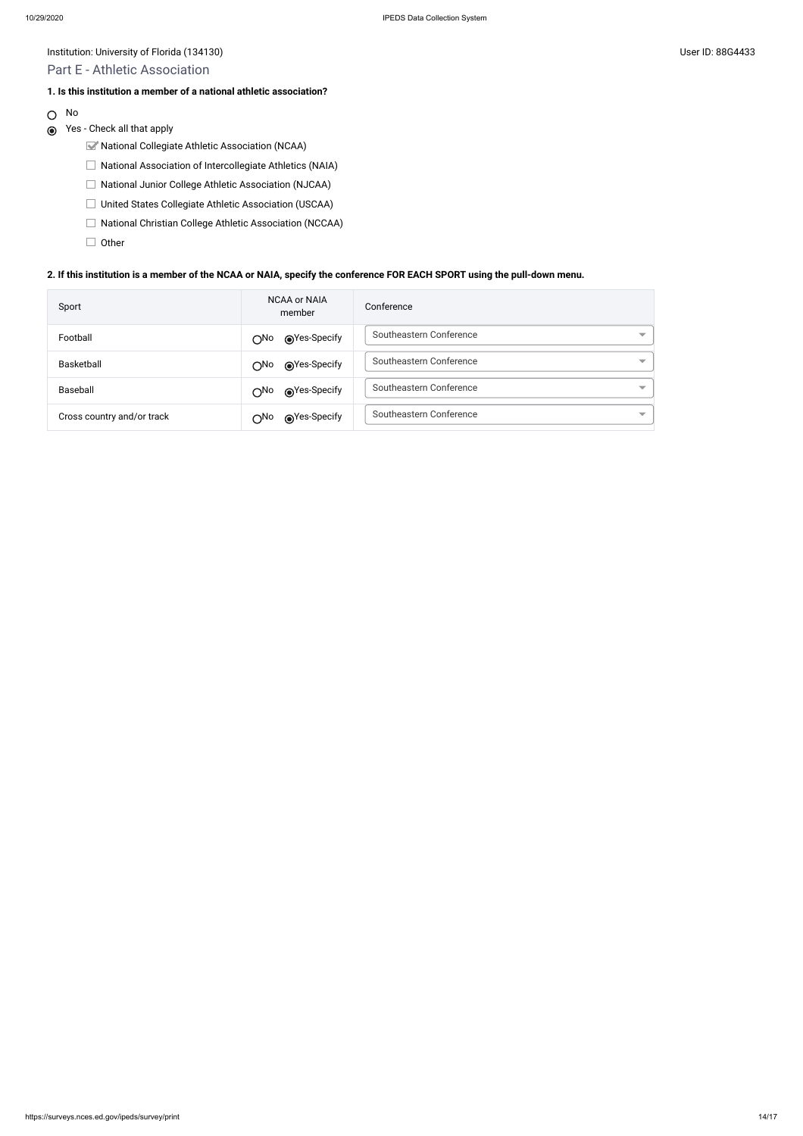Institution: University of Florida (134130) Channels and the User ID: 88G4433

- National Collegiate Athletic Association (NCAA)
- $\Box$  National Association of Intercollegiate Athletics (NAIA)
- National Junior College Athletic Association (NJCAA)
- □ United States Collegiate Athletic Association (USCAA)
- □ National Christian College Athletic Association (NCCAA)
- $\Box$  Other

# Part E - Athletic Association

#### **1. Is this institution a member of a national athletic association?**

O No

# Yes - Check all that apply

#### **2. If this institution is a member of the NCAA or NAIA, specify the conference FOR EACH SPORT using the pull-down menu.**

| Sport                      | <b>NCAA or NAIA</b><br>member                                                                                                                                                                                                                  | Conference                                          |
|----------------------------|------------------------------------------------------------------------------------------------------------------------------------------------------------------------------------------------------------------------------------------------|-----------------------------------------------------|
| Football                   | ies-Specify notice Specify notice and notice and notice and notice and notice and a moment of the material meteorem in the material meteorem and material meteorem and a material meteorem and material meteorem and material<br>∩No           | Southeastern Conference<br>$\overline{\phantom{a}}$ |
| Basketball                 | ies-Specify notice Specify notice and notice of the material of the material of the material of the material of the material of the material of the material of the material of the material of the material of the material<br>$\bigcirc$ No  | Southeastern Conference<br>$\overline{\phantom{a}}$ |
| Baseball                   | ies-Specify notice Specify notice and notice and notice and more that the material of the Second State and Materia and a Second State and Materia and Materia and Street and Materia and Street and Materia and Street and Ma<br>$\bigcirc$ No | Southeastern Conference<br>$\overline{\phantom{a}}$ |
| Cross country and/or track | ies-Specify notice Specify notice and notice and notice and more that the operation of the Second State and Mo<br>∩No                                                                                                                          | Southeastern Conference<br>$\overline{\phantom{a}}$ |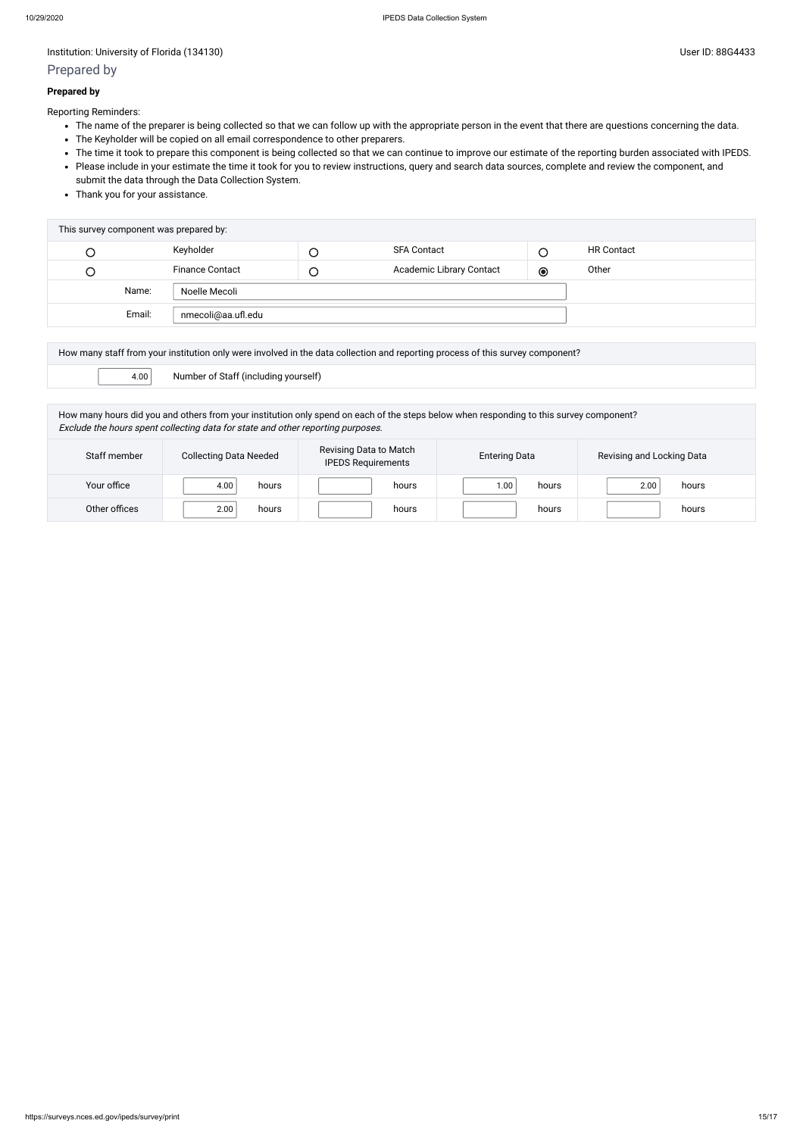# Prepared by

#### **Prepared by**

Reporting Reminders:

- The name of the preparer is being collected so that we can follow up with the appropriate person in the event that there are questions concerning the data.
- The Keyholder will be copied on all email correspondence to other preparers.
- The time it took to prepare this component is being collected so that we can continue to improve our estimate of the reporting burden associated with IPEDS.
- Please include in your estimate the time it took for you to review instructions, query and search data sources, complete and review the component, and submit the data through the Data Collection System.
- Thank you for your assistance.

| This survey component was prepared by: |                        |        |                                 |         |                   |  |  |  |
|----------------------------------------|------------------------|--------|---------------------------------|---------|-------------------|--|--|--|
|                                        | Keyholder              |        | <b>SFA Contact</b>              |         | <b>HR Contact</b> |  |  |  |
| U                                      | <b>Finance Contact</b> | $\cup$ | <b>Academic Library Contact</b> | $\odot$ | Other             |  |  |  |
| Name:                                  | Noelle Mecoli          |        |                                 |         |                   |  |  |  |
| Email:                                 | nmecoli@aa.ufl.edu     |        |                                 |         |                   |  |  |  |

| How many staff from your institution only were involved in the data collection and reporting process of this survey component? |  |  |  |  |
|--------------------------------------------------------------------------------------------------------------------------------|--|--|--|--|
| Number of Staff (including yourself)<br>4.00                                                                                   |  |  |  |  |

How many hours did you and others from your institution only spend on each of the steps below when responding to this survey component? Exclude the hours spent collecting data for state and other reporting purposes.

| Staff member  | <b>Collecting Data Needed</b> | Revising Data to Match<br><b>IPEDS Requirements</b> | <b>Entering Data</b> | Revising and Locking Data |  |
|---------------|-------------------------------|-----------------------------------------------------|----------------------|---------------------------|--|
| Your office   | 4.00<br>hours                 | hours                                               | 00.1<br>hours        | 2.00<br>hours             |  |
| Other offices | 2.00<br>hours                 | hours                                               | hours                | hours                     |  |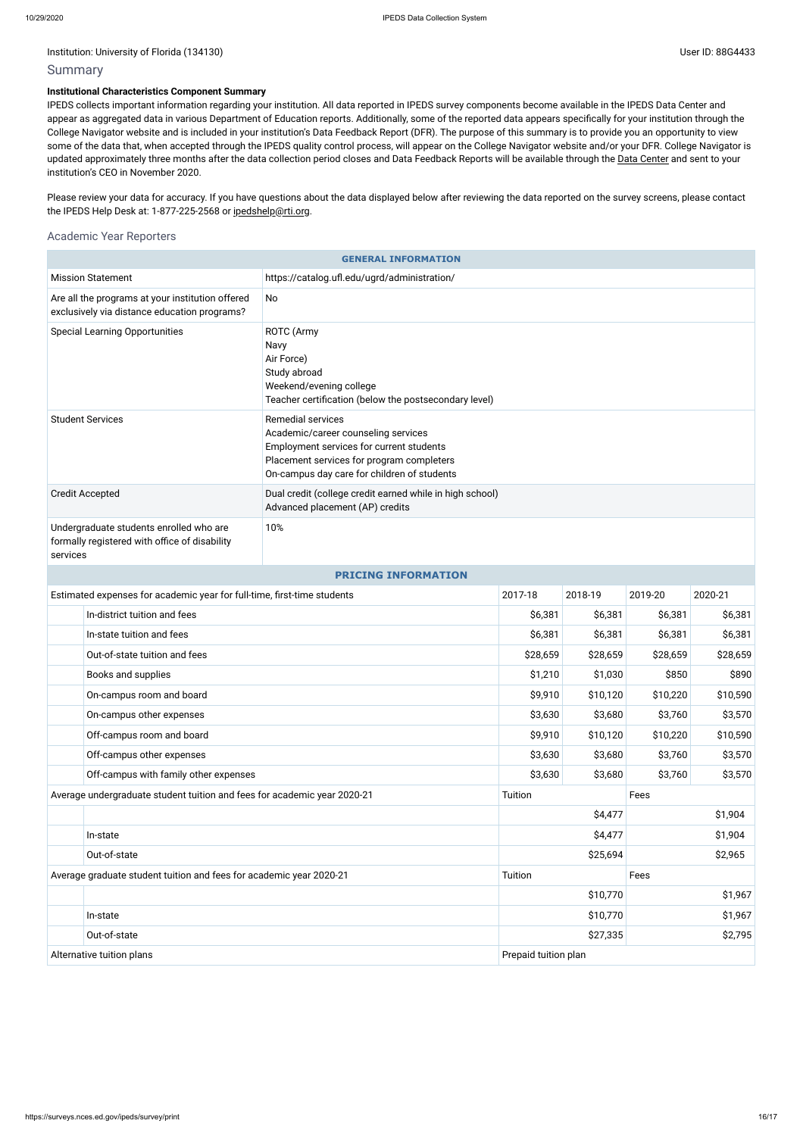## Summary

#### **Institutional Characteristics Component Summary**

Please review your data for accuracy. If you have questions about the data displayed below after reviewing the data reported on the survey screens, please contact the IPEDS Help Desk at: 1-877-225-2568 or [ipedshelp@rti.org.](mailto:ipedshelp@rti.org)

IPEDS collects important information regarding your institution. All data reported in IPEDS survey components become available in the IPEDS Data Center and appear as aggregated data in various Department of Education reports. Additionally, some of the reported data appears specifically for your institution through the College Navigator website and is included in your institution's Data Feedback Report (DFR). The purpose of this summary is to provide you an opportunity to view some of the data that, when accepted through the IPEDS quality control process, will appear on the College Navigator website and/or your DFR. College Navigator is updated approximately three months after the data collection period closes and Data Feedback Reports will be available through the Data [Center](https://nces.ed.gov/ipeds/use-the-data) and sent to your institution's CEO in November 2020.

#### Academic Year Reporters

| <b>GENERAL INFORMATION</b>                                                                                                                                                                                                         |                                                                                                             |                                                                                             |                      |                    |          |          |  |
|------------------------------------------------------------------------------------------------------------------------------------------------------------------------------------------------------------------------------------|-------------------------------------------------------------------------------------------------------------|---------------------------------------------------------------------------------------------|----------------------|--------------------|----------|----------|--|
|                                                                                                                                                                                                                                    | <b>Mission Statement</b>                                                                                    |                                                                                             |                      |                    |          |          |  |
|                                                                                                                                                                                                                                    | Are all the programs at your institution offered<br>No<br>exclusively via distance education programs?      |                                                                                             |                      |                    |          |          |  |
| <b>Special Learning Opportunities</b><br>ROTC (Army<br>Navy<br>Air Force)<br>Study abroad<br>Weekend/evening college<br>Teacher certification (below the postsecondary level)                                                      |                                                                                                             |                                                                                             |                      |                    |          |          |  |
| <b>Student Services</b><br><b>Remedial services</b><br>Academic/career counseling services<br>Employment services for current students<br>Placement services for program completers<br>On-campus day care for children of students |                                                                                                             |                                                                                             |                      |                    |          |          |  |
|                                                                                                                                                                                                                                    | <b>Credit Accepted</b>                                                                                      | Dual credit (college credit earned while in high school)<br>Advanced placement (AP) credits |                      |                    |          |          |  |
|                                                                                                                                                                                                                                    | Undergraduate students enrolled who are<br>10%<br>formally registered with office of disability<br>services |                                                                                             |                      |                    |          |          |  |
| <b>PRICING INFORMATION</b>                                                                                                                                                                                                         |                                                                                                             |                                                                                             |                      |                    |          |          |  |
| Estimated expenses for academic year for full-time, first-time students                                                                                                                                                            |                                                                                                             | 2017-18                                                                                     | 2018-19              | 2019-20            | 2020-21  |          |  |
| In-district tuition and fees                                                                                                                                                                                                       |                                                                                                             |                                                                                             | \$6,381              | \$6,381            | \$6,381  | \$6,381  |  |
|                                                                                                                                                                                                                                    | In-state tuition and fees                                                                                   |                                                                                             |                      | \$6,381            | \$6,381  | \$6,381  |  |
|                                                                                                                                                                                                                                    | Out-of-state tuition and fees                                                                               |                                                                                             | \$28,659             | \$28,659           | \$28,659 | \$28,659 |  |
| Books and supplies                                                                                                                                                                                                                 |                                                                                                             | \$1,210                                                                                     | \$1,030              | \$850              | \$890    |          |  |
| On-campus room and board                                                                                                                                                                                                           |                                                                                                             | \$9,910                                                                                     | \$10,120             | \$10,220           | \$10,590 |          |  |
|                                                                                                                                                                                                                                    | On-campus other expenses                                                                                    |                                                                                             |                      | \$3,630<br>\$3,680 | \$3,760  | \$3,570  |  |
|                                                                                                                                                                                                                                    | Off-campus room and board                                                                                   |                                                                                             | \$9,910              | \$10,120           | \$10,220 | \$10,590 |  |
|                                                                                                                                                                                                                                    | Off-campus other expenses                                                                                   |                                                                                             | \$3,630              | \$3,680            | \$3,760  | \$3,570  |  |
|                                                                                                                                                                                                                                    | Off-campus with family other expenses                                                                       |                                                                                             | \$3,630              | \$3,680            | \$3,760  | \$3,570  |  |
|                                                                                                                                                                                                                                    | Average undergraduate student tuition and fees for academic year 2020-21                                    |                                                                                             | Tuition              |                    | Fees     |          |  |
|                                                                                                                                                                                                                                    |                                                                                                             | \$4,477                                                                                     |                      |                    | \$1,904  |          |  |
|                                                                                                                                                                                                                                    | In-state                                                                                                    |                                                                                             | \$4,477              |                    |          | \$1,904  |  |
| Out-of-state                                                                                                                                                                                                                       |                                                                                                             | \$25,694                                                                                    |                      | \$2,965            |          |          |  |
| Average graduate student tuition and fees for academic year 2020-21                                                                                                                                                                |                                                                                                             | Tuition                                                                                     |                      | Fees               |          |          |  |
|                                                                                                                                                                                                                                    |                                                                                                             |                                                                                             |                      | \$10,770           |          | \$1,967  |  |
|                                                                                                                                                                                                                                    | In-state                                                                                                    |                                                                                             | \$10,770             |                    | \$1,967  |          |  |
| Out-of-state                                                                                                                                                                                                                       |                                                                                                             | \$2,795<br>\$27,335                                                                         |                      |                    |          |          |  |
| Alternative tuition plans                                                                                                                                                                                                          |                                                                                                             |                                                                                             | Prepaid tuition plan |                    |          |          |  |